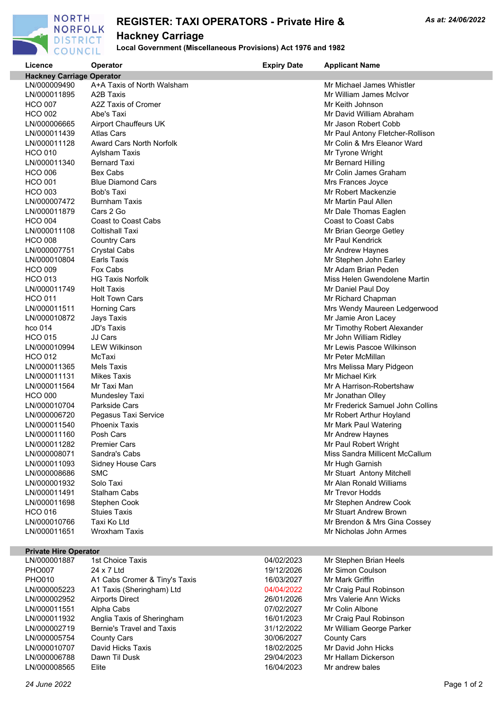

# **REGISTER: TAXI OPERATORS - Private Hire & Hackney Carriage**

### **Local Government (Miscellaneous Provisions) Act 1976 and 1982**

| Licence                          | Operator                        | <b>Expiry Date</b> | <b>Applicant Name</b>                               |
|----------------------------------|---------------------------------|--------------------|-----------------------------------------------------|
| <b>Hackney Carriage Operator</b> |                                 |                    |                                                     |
| LN/000009490                     | A+A Taxis of North Walsham      |                    | Mr Michael James Whistler                           |
| LN/000011895                     | A <sub>2</sub> B Taxis          |                    | Mr William James McIvor                             |
| <b>HCO 007</b>                   | A2Z Taxis of Cromer             |                    | Mr Keith Johnson                                    |
| <b>HCO 002</b>                   | Abe's Taxi                      |                    | Mr David William Abraham                            |
| LN/000006665                     | Airport Chauffeurs UK           |                    | Mr Jason Robert Cobb                                |
| LN/000011439                     | Atlas Cars                      |                    | Mr Paul Antony Fletcher-Rollison                    |
| LN/000011128                     | <b>Award Cars North Norfolk</b> |                    | Mr Colin & Mrs Eleanor Ward                         |
| <b>HCO 010</b>                   | Aylsham Taxis                   |                    | Mr Tyrone Wright                                    |
| LN/000011340                     | <b>Bernard Taxi</b>             |                    | Mr Bernard Hilling                                  |
| <b>HCO 006</b>                   | Bex Cabs                        |                    | Mr Colin James Graham                               |
| <b>HCO 001</b>                   | <b>Blue Diamond Cars</b>        |                    | Mrs Frances Joyce                                   |
| <b>HCO 003</b>                   | Bob's Taxi                      |                    | Mr Robert Mackenzie                                 |
| LN/000007472                     | <b>Burnham Taxis</b>            |                    | Mr Martin Paul Allen                                |
| LN/000011879                     | Cars 2 Go                       |                    | Mr Dale Thomas Eaglen                               |
| <b>HCO 004</b>                   | Coast to Coast Cabs             |                    | <b>Coast to Coast Cabs</b>                          |
| LN/000011108                     | <b>Coltishall Taxi</b>          |                    | Mr Brian George Getley                              |
| <b>HCO 008</b>                   | <b>Country Cars</b>             |                    | Mr Paul Kendrick                                    |
| LN/000007751                     | <b>Crystal Cabs</b>             |                    | Mr Andrew Haynes                                    |
| LN/000010804                     | <b>Earls Taxis</b>              |                    | Mr Stephen John Earley                              |
| <b>HCO 009</b>                   | Fox Cabs                        |                    | Mr Adam Brian Peden                                 |
| <b>HCO 013</b>                   | <b>HG Taxis Norfolk</b>         |                    | Miss Helen Gwendolene Martin                        |
| LN/000011749                     | <b>Holt Taxis</b>               |                    | Mr Daniel Paul Doy                                  |
| <b>HCO 011</b>                   | <b>Holt Town Cars</b>           |                    | Mr Richard Chapman                                  |
| LN/000011511                     | <b>Horning Cars</b>             |                    | Mrs Wendy Maureen Ledgerwood                        |
| LN/000010872                     | Jays Taxis                      |                    |                                                     |
| hco 014                          | <b>JD's Taxis</b>               |                    | Mr Jamie Aron Lacey                                 |
| <b>HCO 015</b>                   | JJ Cars                         |                    | Mr Timothy Robert Alexander                         |
|                                  | <b>LEW Wilkinson</b>            |                    | Mr John William Ridley<br>Mr Lewis Pascoe Wilkinson |
| LN/000010994                     |                                 |                    |                                                     |
| <b>HCO 012</b>                   | McTaxi                          |                    | Mr Peter McMillan                                   |
| LN/000011365                     | <b>Mels Taxis</b>               |                    | Mrs Melissa Mary Pidgeon                            |
| LN/000011131                     | <b>Mikes Taxis</b>              |                    | Mr Michael Kirk                                     |
| LN/000011564                     | Mr Taxi Man                     |                    | Mr A Harrison-Robertshaw                            |
| <b>HCO 000</b>                   | <b>Mundesley Taxi</b>           |                    | Mr Jonathan Olley                                   |
| LN/000010704                     | <b>Parkside Cars</b>            |                    | Mr Frederick Samuel John Collins                    |
| LN/000006720                     | Pegasus Taxi Service            |                    | Mr Robert Arthur Hoyland                            |
| LN/000011540                     | <b>Phoenix Taxis</b>            |                    | Mr Mark Paul Watering                               |
| LN/000011160                     | Posh Cars                       |                    | Mr Andrew Haynes                                    |
| LN/000011282                     | <b>Premier Cars</b>             |                    | Mr Paul Robert Wright                               |
| LN/000008071                     | Sandra's Cabs                   |                    | Miss Sandra Millicent McCallum                      |
| LN/000011093                     | Sidney House Cars               |                    | Mr Hugh Garnish                                     |
| LN/000008686                     | <b>SMC</b>                      |                    | Mr Stuart Antony Mitchell                           |
| LN/000001932                     | Solo Taxi                       |                    | Mr Alan Ronald Williams                             |
| LN/000011491                     | <b>Stalham Cabs</b>             |                    | Mr Trevor Hodds                                     |
| LN/000011698                     | Stephen Cook                    |                    | Mr Stephen Andrew Cook                              |
| <b>HCO 016</b>                   | <b>Stujes Taxis</b>             |                    | Mr Stuart Andrew Brown                              |
| LN/000010766                     | Taxi Ko Ltd                     |                    | Mr Brendon & Mrs Gina Cossey                        |
| LN/000011651                     | <b>Wroxham Taxis</b>            |                    | Mr Nicholas John Armes                              |
|                                  |                                 |                    |                                                     |

#### **Private Hire Operator**

| LN/000001887  | 1st Choice Taxis              | 04/02/2023 | Mr Stephen Brian Heels   |
|---------------|-------------------------------|------------|--------------------------|
| <b>PHO007</b> | 24 x 7 Ltd                    | 19/12/2026 | Mr Simon Coulson         |
| <b>PHO010</b> | A1 Cabs Cromer & Tiny's Taxis | 16/03/2027 | Mr Mark Griffin          |
| LN/000005223  | A1 Taxis (Sheringham) Ltd     | 04/04/2022 | Mr Craig Paul Robinson   |
| LN/000002952  | <b>Airports Direct</b>        | 26/01/2026 | Mrs Valerie Ann Wicks    |
| LN/000011551  | Alpha Cabs                    | 07/02/2027 | Mr Colin Albone          |
| LN/000011932  | Anglia Taxis of Sheringham    | 16/01/2023 | Mr Craig Paul Robinson   |
| LN/000002719  | Bernie's Travel and Taxis     | 31/12/2022 | Mr William George Parker |
| LN/000005754  | County Cars                   | 30/06/2027 | <b>County Cars</b>       |
| LN/000010707  | David Hicks Taxis             | 18/02/2025 | Mr David John Hicks      |
| LN/000006788  | Dawn Til Dusk                 | 29/04/2023 | Mr Hallam Dickerson      |
| LN/000008565  | Elite                         | 16/04/2023 | Mr andrew bales          |

| 19/12/2026 |  |
|------------|--|
| 16/03/2027 |  |
| 04/04/2022 |  |
| 26/01/2026 |  |
| 07/02/2027 |  |
| 16/01/2023 |  |
| 31/12/2022 |  |
| 30/06/2027 |  |
| 18/02/2025 |  |
| 29/04/2023 |  |
| 16/04/2023 |  |